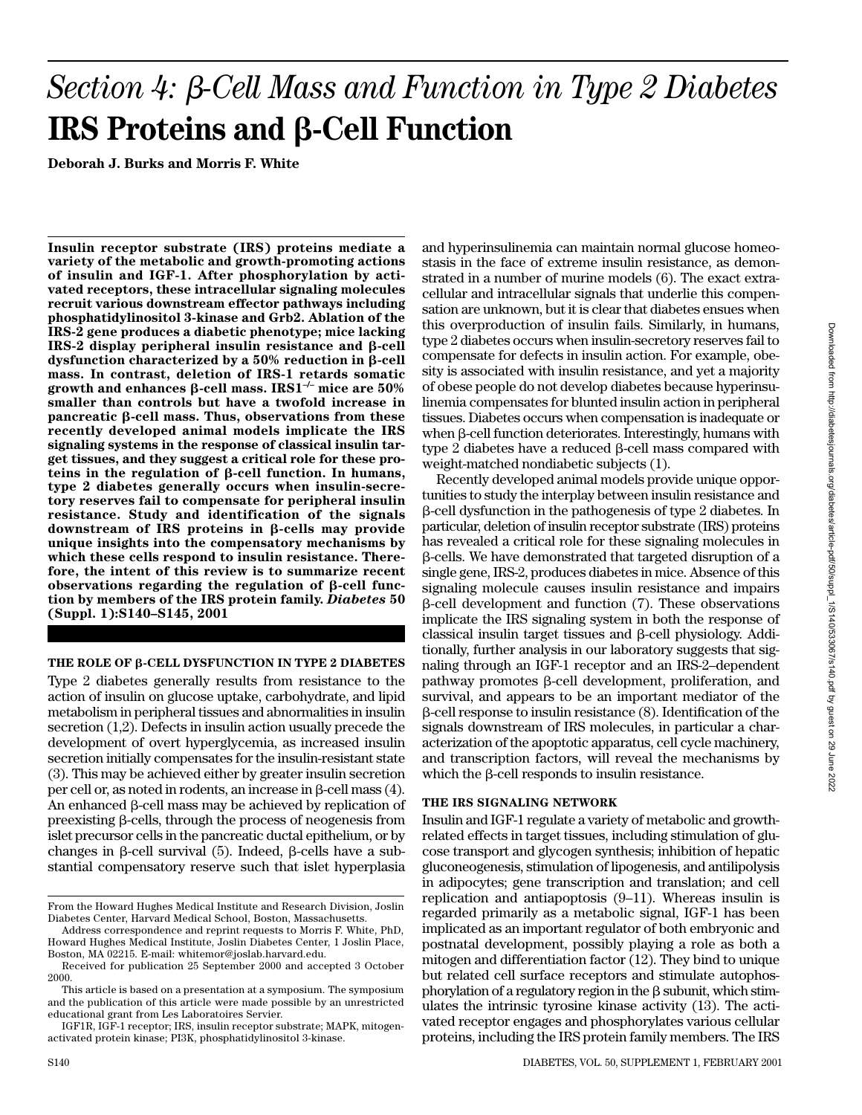# Section 4: β-Cell Mass and Function in Type 2 Diabetes **IRS Proteins and β-Cell Function**

**Deborah J. Burks and Morris F. White**

**Insulin receptor substrate (IRS) proteins mediate a variety of the metabolic and growth-promoting actions of insulin and IGF-1. After phosphorylation by activated receptors, these intracellular signaling molecules recruit various downstream effector pathways including phosphatidylinositol 3-kinase and Grb2. Ablation of the IRS-2 gene produces a diabetic phenotype; mice lacking**  $IRS-2 display$  display peripheral insulin resistance and  $\beta$ -cell dysfunction characterized by a 50% reduction in β-cell **mass. In contrast, deletion of IRS-1 retards somatic growth and enhances β-cell mass. IRS1<sup>-/-</sup> mice are 50% smaller than controls but have a twofold increase in** pancreatic β-cell mass. Thus, observations from these **recently developed animal models implicate the IRS signaling systems in the response of classical insulin target tissues, and they suggest a critical role for these pro** $t \text{ eins in the regulation of } \beta$ -cell function. In humans, **type 2 diabetes generally occurs when insulin-secretory reserves fail to compensate for peripheral insulin resistance. Study and identification of the signals** downstream of IRS proteins in β-cells may provide **unique insights into the compensatory mechanisms by which these cells respond to insulin resistance. Therefore, the intent of this review is to summarize recent**  $\alpha$  bservations regarding the regulation of  $\beta$ -cell func**tion by members of the IRS protein family.** *Diabetes* **50 (Suppl. 1):S140–S145, 2001**

# **THE ROLE OF β-CELL DYSFUNCTION IN TYPE 2 DIABETES**

Type 2 diabetes generally results from resistance to the action of insulin on glucose uptake, carbohydrate, and lipid metabolism in peripheral tissues and abnormalities in insulin secretion (1,2). Defects in insulin action usually precede the development of overt hyperglycemia, as increased insulin secretion initially compensates for the insulin-resistant state (3). This may be achieved either by greater insulin secretion  $per$  cell or, as noted in rodents, an increase in  $\beta$ -cell mass  $(4)$ . An enhanced  $\beta$ -cell mass may be achieved by replication of preexisting  $\beta$ -cells, through the process of neogenesis from islet precursor cells in the pancreatic ductal epithelium, or by changes in  $\beta$ -cell survival (5). Indeed,  $\beta$ -cells have a substantial compensatory reserve such that islet hyperplasia

and hyperinsulinemia can maintain normal glucose homeostasis in the face of extreme insulin resistance, as demonstrated in a number of murine models (6). The exact extracellular and intracellular signals that underlie this compensation are unknown, but it is clear that diabetes ensues when this overproduction of insulin fails. Similarly, in humans, type 2 diabetes occurs when insulin-secretory reserves fail to compensate for defects in insulin action. For example, obesity is associated with insulin resistance, and yet a majority of obese people do not develop diabetes because hyperinsulinemia compensates for blunted insulin action in peripheral tissues. Diabetes occurs when compensation is inadequate or when β-cell function deteriorates. Interestingly, humans with  $type 2$  diabetes have a reduced  $\beta$ -cell mass compared with weight-matched nondiabetic subjects (1).

Recently developed animal models provide unique opportunities to study the interplay between insulin resistance and --cell dysfunction in the pathogenesis of type 2 diabetes. In particular, deletion of insulin receptor substrate (IRS) proteins has revealed a critical role for these signaling molecules in --cells. We have demonstrated that targeted disruption of a single gene, IRS-2, produces diabetes in mice. Absence of this signaling molecule causes insulin resistance and impairs --cell development and function (7). These observations implicate the IRS signaling system in both the response of  $classical$  insulin target tissues and  $\beta$ -cell physiology. Additionally, further analysis in our laboratory suggests that signaling through an IGF-1 receptor and an IRS-2–dependent  $pathway$  promotes  $\beta$ -cell development, proliferation, and survival, and appears to be an important mediator of the  $\beta$ -cell response to insulin resistance  $(8)$ . Identification of the signals downstream of IRS molecules, in particular a characterization of the apoptotic apparatus, cell cycle machinery, and transcription factors, will reveal the mechanisms by which the  $\beta$ -cell responds to insulin resistance.

# **THE IRS SIGNALING NETWORK**

Insulin and IGF-1 regulate a variety of metabolic and growthrelated effects in target tissues, including stimulation of glucose transport and glycogen synthesis; inhibition of hepatic gluconeogenesis, stimulation of lipogenesis, and antilipolysis in adipocytes; gene transcription and translation; and cell replication and antiapoptosis (9–11). Whereas insulin is regarded primarily as a metabolic signal, IGF-1 has been implicated as an important regulator of both embryonic and postnatal development, possibly playing a role as both a mitogen and differentiation factor (12). They bind to unique but related cell surface receptors and stimulate autophosphorylation of a regulatory region in the  $\beta$  subunit, which stimulates the intrinsic tyrosine kinase activity (13). The activated receptor engages and phosphorylates various cellular proteins, including the IRS protein family members. The IRS

From the Howard Hughes Medical Institute and Research Division, Joslin Diabetes Center, Harvard Medical School, Boston, Massachusetts.

Address correspondence and reprint requests to Morris F. White, PhD, Howard Hughes Medical Institute, Joslin Diabetes Center, 1 Joslin Place, Boston, MA 02215. E-mail: whitemor@joslab.harvard.edu.

Received for publication 25 September 2000 and accepted 3 October 2000.

This article is based on a presentation at a symposium. The symposium and the publication of this article were made possible by an unrestricted educational grant from Les Laboratoires Servier.

IGF1R, IGF-1 receptor; IRS, insulin receptor substrate; MAPK, mitogenactivated protein kinase; PI3K, phosphatidylinositol 3-kinase.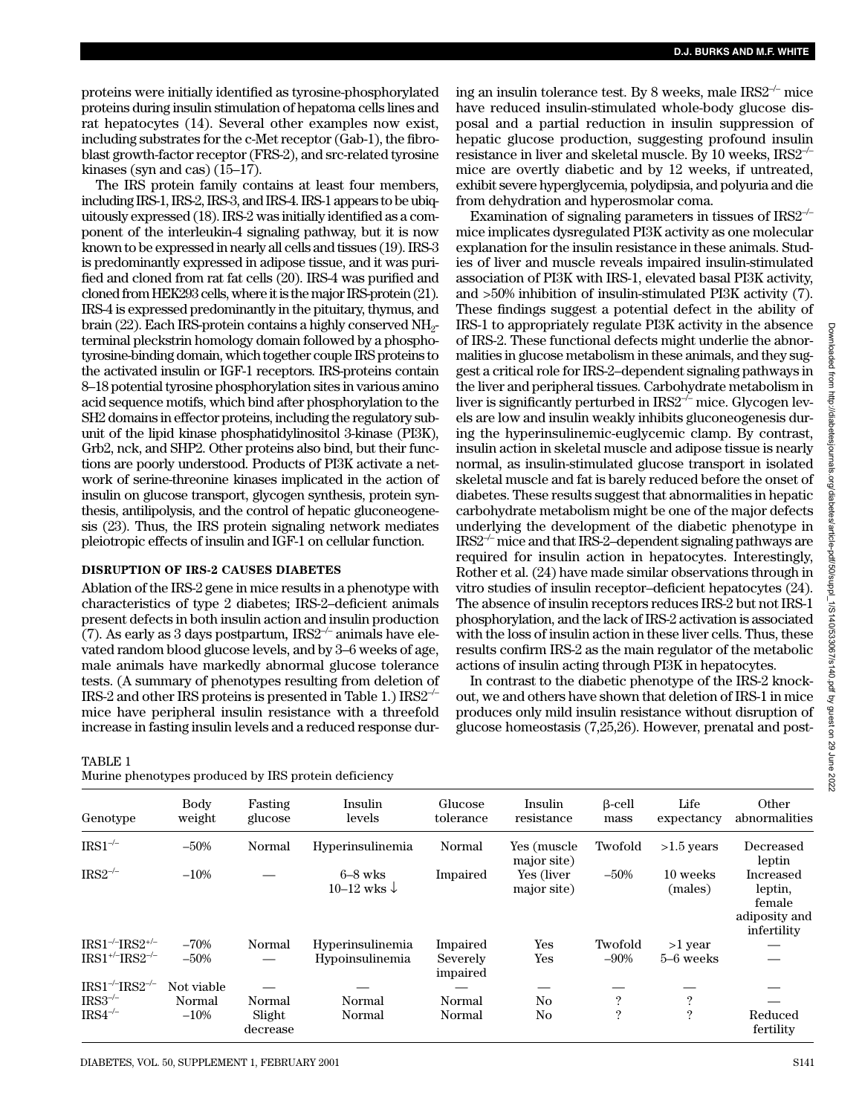proteins were initially identified as tyrosine-phosphorylated proteins during insulin stimulation of hepatoma cells lines and rat hepatocytes (14). Several other examples now exist, including substrates for the c-Met receptor (Gab-1), the fibroblast growth-factor receptor (FRS-2), and src-related tyrosine kinases (syn and cas) (15–17).

The IRS protein family contains at least four members, including IRS-1, IRS-2, IRS-3, and IRS-4. IRS-1 appears to be ubiquitously expressed (18). IRS-2 was initially identified as a component of the interleukin-4 signaling pathway, but it is now known to be expressed in nearly all cells and tissues (19). IRS-3 is predominantly expressed in adipose tissue, and it was purified and cloned from rat fat cells (20). IRS-4 was purified and cloned from HEK293 cells, where it is the major IRS-protein (21). IRS-4 is expressed predominantly in the pituitary, thymus, and brain (22). Each IRS-protein contains a highly conserved  $NH<sub>2</sub>$ terminal pleckstrin homology domain followed by a phosphotyrosine-binding domain, which together couple IRS proteins to the activated insulin or IGF-1 receptors. IRS-proteins contain 8–18 potential tyrosine phosphorylation sites in various amino acid sequence motifs, which bind after phosphorylation to the SH2 domains in effector proteins, including the regulatory subunit of the lipid kinase phosphatidylinositol 3-kinase (PI3K), Grb2, nck, and SHP2. Other proteins also bind, but their functions are poorly understood. Products of PI3K activate a network of serine-threonine kinases implicated in the action of insulin on glucose transport, glycogen synthesis, protein synthesis, antilipolysis, and the control of hepatic gluconeogenesis (23). Thus, the IRS protein signaling network mediates pleiotropic effects of insulin and IGF-1 on cellular function.

# **DISRUPTION OF IRS-2 CAUSES DIABETES**

Ablation of the IRS-2 gene in mice results in a phenotype with characteristics of type 2 diabetes; IRS-2–deficient animals present defects in both insulin action and insulin production (7). As early as 3 days postpartum,  $IRS2^{-/-}$  animals have elevated random blood glucose levels, and by 3–6 weeks of age, male animals have markedly abnormal glucose tolerance tests. (A summary of phenotypes resulting from deletion of IRS-2 and other IRS proteins is presented in Table 1.) IRS2–/– mice have peripheral insulin resistance with a threefold increase in fasting insulin levels and a reduced response dur-

TABLE 1

| Murine phenotypes produced by IRS protein deficiency |  |  |  |  |
|------------------------------------------------------|--|--|--|--|
|------------------------------------------------------|--|--|--|--|

ing an insulin tolerance test. By 8 weeks, male  $IRS2^{-/-}$  mice have reduced insulin-stimulated whole-body glucose disposal and a partial reduction in insulin suppression of hepatic glucose production, suggesting profound insulin resistance in liver and skeletal muscle. By 10 weeks, IRS2–/– mice are overtly diabetic and by 12 weeks, if untreated, exhibit severe hyperglycemia, polydipsia, and polyuria and die from dehydration and hyperosmolar coma.

Examination of signaling parameters in tissues of  $IRS2^{-/-}$ mice implicates dysregulated PI3K activity as one molecular explanation for the insulin resistance in these animals. Studies of liver and muscle reveals impaired insulin-stimulated association of PI3K with IRS-1, elevated basal PI3K activity, and >50% inhibition of insulin-stimulated PI3K activity (7). These findings suggest a potential defect in the ability of IRS-1 to appropriately regulate PI3K activity in the absence of IRS-2. These functional defects might underlie the abnormalities in glucose metabolism in these animals, and they suggest a critical role for IRS-2–dependent signaling pathways in the liver and peripheral tissues. Carbohydrate metabolism in liver is significantly perturbed in  $IRS2^{-/-}$  mice. Glycogen levels are low and insulin weakly inhibits gluconeogenesis during the hyperinsulinemic-euglycemic clamp. By contrast, insulin action in skeletal muscle and adipose tissue is nearly normal, as insulin-stimulated glucose transport in isolated skeletal muscle and fat is barely reduced before the onset of diabetes. These results suggest that abnormalities in hepatic carbohydrate metabolism might be one of the major defects underlying the development of the diabetic phenotype in  $IRS2<sup>-/-</sup>$  mice and that IRS-2–dependent signaling pathways are required for insulin action in hepatocytes. Interestingly, Rother et al. (24) have made similar observations through in vitro studies of insulin receptor–deficient hepatocytes (24). The absence of insulin receptors reduces IRS-2 but not IRS-1 phosphorylation, and the lack of IRS-2 activation is associated with the loss of insulin action in these liver cells. Thus, these results confirm IRS-2 as the main regulator of the metabolic actions of insulin acting through PI3K in hepatocytes.

In contrast to the diabetic phenotype of the IRS-2 knockout, we and others have shown that deletion of IRS-1 in mice produces only mild insulin resistance without disruption of glucose homeostasis (7,25,26). However, prenatal and post-

| <u>murine phenotypes produced by file protein deficiency</u> |                |                    |                                     |                      |                            |                       |                     |                                                                |  |  |
|--------------------------------------------------------------|----------------|--------------------|-------------------------------------|----------------------|----------------------------|-----------------------|---------------------|----------------------------------------------------------------|--|--|
| Genotype                                                     | Body<br>weight | Fasting<br>glucose | Insulin<br>levels                   | Glucose<br>tolerance | Insulin<br>resistance      | $\beta$ -cell<br>mass | Life<br>expectancy  | Other<br>abnormalities                                         |  |  |
| $IRS1^{-/-}$                                                 | $-50%$         | Normal             | Hyperinsulinemia                    | Normal               | Yes (muscle<br>major site) | Twofold               | $>1.5$ years        | Decreased<br>leptin                                            |  |  |
| $IRS2^{-/-}$                                                 | $-10%$         |                    | $6-8$ wks<br>10–12 wks $\downarrow$ | Impaired             | Yes (liver<br>major site)  | $-50%$                | 10 weeks<br>(males) | Increased<br>leptin,<br>female<br>adiposity and<br>infertility |  |  |
| $IRS1^{-/-}IRS2^{+/-}$                                       | $-70%$         | Normal             | Hyperinsulinemia                    | Impaired             | Yes                        | Twofold               | $>1$ year           |                                                                |  |  |
| $IRS1^{+/}/IRS2^{-/-}$                                       | $-50%$         |                    | Hypoinsulinemia                     | Severely<br>impaired | Yes                        | $-90\%$               | 5–6 weeks           |                                                                |  |  |
| $IRS1^{-/-}IRS2^{-/-}$                                       | Not viable     |                    |                                     |                      |                            |                       |                     |                                                                |  |  |
| $IRS3^{-/-}$                                                 | Normal         | Normal             | Normal                              | Normal               | No                         | $\mathcal{P}$         | $\ddot{?}$          |                                                                |  |  |
| $IRS4^{-/-}$                                                 | $-10%$         | Slight<br>decrease | Normal                              | Normal               | No                         | ?                     | $\ddot{?}$          | Reduced<br>fertility                                           |  |  |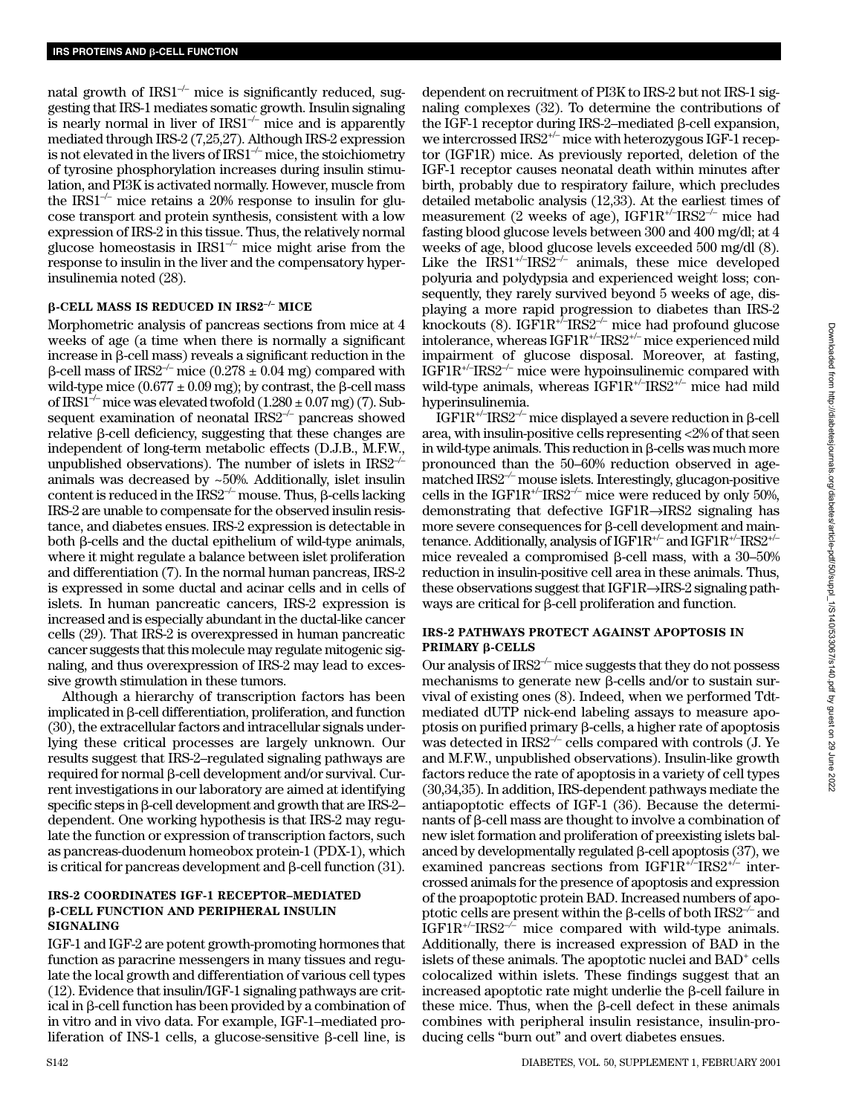natal growth of  $IRSI^{-/-}$  mice is significantly reduced, suggesting that IRS-1 mediates somatic growth. Insulin signaling is nearly normal in liver of  $IRS1<sup>-/-</sup>$  mice and is apparently mediated through IRS-2 (7,25,27). Although IRS-2 expression is not elevated in the livers of IRS1–/– mice, the stoichiometry of tyrosine phosphorylation increases during insulin stimulation, and PI3K is activated normally. However, muscle from the IRS1<sup>-/-</sup> mice retains a 20% response to insulin for glucose transport and protein synthesis, consistent with a low expression of IRS-2 in this tissue. Thus, the relatively normal glucose homeostasis in  $IRS1<sup>-/-</sup>$  mice might arise from the response to insulin in the liver and the compensatory hyperinsulinemia noted (28).

# -**-CELL MASS IS REDUCED IN IRS2–/– MICE**

Morphometric analysis of pancreas sections from mice at 4 weeks of age (a time when there is normally a significant increase in  $\beta$ -cell mass) reveals a significant reduction in the β-cell mass of IRS2<sup>-/-</sup> mice (0.278  $\pm$  0.04 mg) compared with wild-type mice  $(0.677 \pm 0.09 \text{ mg})$ ; by contrast, the  $\beta$ -cell mass of IRS1<sup>-/–</sup> mice was elevated twofold  $(1.280 \pm 0.07$  mg) (7). Subsequent examination of neonatal  $IRS2^{-/-}$  pancreas showed  $relative$   $\beta$ -cell deficiency, suggesting that these changes are independent of long-term metabolic effects (D.J.B., M.F.W., unpublished observations). The number of islets in  $IRS2^{-/-}$ animals was decreased by ~50%. Additionally, islet insulin content is reduced in the IRS2<sup>-/-</sup> mouse. Thus,  $\beta$ -cells lacking IRS-2 are unable to compensate for the observed insulin resistance, and diabetes ensues. IRS-2 expression is detectable in both  $\beta$ -cells and the ductal epithelium of wild-type animals, where it might regulate a balance between islet proliferation and differentiation (7). In the normal human pancreas, IRS-2 is expressed in some ductal and acinar cells and in cells of islets. In human pancreatic cancers, IRS-2 expression is increased and is especially abundant in the ductal-like cancer cells (29). That IRS-2 is overexpressed in human pancreatic cancer suggests that this molecule may regulate mitogenic signaling, and thus overexpression of IRS-2 may lead to excessive growth stimulation in these tumors.

Although a hierarchy of transcription factors has been implicated in  $\beta$ -cell differentiation, proliferation, and function (30), the extracellular factors and intracellular signals underlying these critical processes are largely unknown. Our results suggest that IRS-2–regulated signaling pathways are required for normal  $\beta$ -cell development and/or survival. Current investigations in our laboratory are aimed at identifying  $\rm{specific\ steps}$  in  $\beta$ -cell development and growth that are IRS-2– dependent. One working hypothesis is that IRS-2 may regulate the function or expression of transcription factors, such as pancreas-duodenum homeobox protein-1 (PDX-1), which is critical for pancreas development and  $\beta$ -cell function (31).

### **IRS-2 COORDINATES IGF-1 RECEPTOR–MEDIATED** β-CELL FUNCTION AND PERIPHERAL INSULIN **SIGNALING**

IGF-1 and IGF-2 are potent growth-promoting hormones that function as paracrine messengers in many tissues and regulate the local growth and differentiation of various cell types (12). Evidence that insulin/IGF-1 signaling pathways are critical in β-cell function has been provided by a combination of in vitro and in vivo data. For example, IGF-1–mediated proliferation of INS-1 cells, a glucose-sensitive β-cell line, is

dependent on recruitment of PI3K to IRS-2 but not IRS-1 signaling complexes (32). To determine the contributions of the IGF-1 receptor during IRS-2–mediated  $\beta$ -cell expansion, we intercrossed IRS2+/– mice with heterozygous IGF-1 receptor (IGF1R) mice. As previously reported, deletion of the IGF-1 receptor causes neonatal death within minutes after birth, probably due to respiratory failure, which precludes detailed metabolic analysis (12,33). At the earliest times of measurement (2 weeks of age),  $IGF1R^{+/-}IRS2^{-/-}$  mice had fasting blood glucose levels between 300 and 400 mg/dl; at 4 weeks of age, blood glucose levels exceeded 500 mg/dl (8). Like the  $\text{IRS1}^{+/}/\text{IRS2}^{-/-}$  animals, these mice developed polyuria and polydypsia and experienced weight loss; consequently, they rarely survived beyond 5 weeks of age, displaying a more rapid progression to diabetes than IRS-2 knockouts (8). IG $\text{F1R}^{17}$ -IRS2<sup>-/-</sup> mice had profound glucose intolerance, whereas IGF1R+/–IRS2+/– mice experienced mild impairment of glucose disposal. Moreover, at fasting, IGF1R<sup>+/–</sup>IRS2<sup>-/–</sup> mice were hypoinsulinemic compared with wild-type animals, whereas IGF1R<sup>+/-</sup>IRS2<sup>+/-</sup> mice had mild hyperinsulinemia.

 $\text{IGF1R}^{\scriptscriptstyle +\prime\prime}\text{IRS2}^{\scriptscriptstyle -\prime\prime}$  mice displayed a severe reduction in β-cell area, with insulin-positive cells representing <2% of that seen in wild-type animals. This reduction in  $\beta$ -cells was much more pronounced than the 50–60% reduction observed in agematched IRS2*–/–* mouse islets. Interestingly, glucagon-positive cells in the IGF1R<sup>+/-</sup>IRS2<sup>-/-</sup> mice were reduced by only 50%, demonstrating that defective IGF1R→IRS2 signaling has  $m$ ore severe consequences for  $\beta$ -cell development and maintenance. Additionally, analysis of IGF1R+/– and IGF1R+/–IRS2+/– mice revealed a compromised  $\beta$ -cell mass, with a 30–50% reduction in insulin-positive cell area in these animals. Thus, these observations suggest that IGF1R→IRS-2 signaling pathways are critical for  $\beta$ -cell proliferation and function.

#### **IRS-2 PATHWAYS PROTECT AGAINST APOPTOSIS IN PRIMARY β-CELLS**

Our analysis of  $IRS2^{-/-}$  mice suggests that they do not possess mechanisms to generate new  $\beta$ -cells and/or to sustain survival of existing ones (8). Indeed, when we performed Tdtmediated dUTP nick-end labeling assays to measure apoptosis on purified primary  $\beta$ -cells, a higher rate of apoptosis was detected in  $\text{IRS2}^{-/-}$  cells compared with controls (J. Ye and M.F.W., unpublished observations). Insulin-like growth factors reduce the rate of apoptosis in a variety of cell types (30,34,35). In addition, IRS-dependent pathways mediate the antiapoptotic effects of IGF-1 (36). Because the determi $n$ ants of  $\beta$ -cell mass are thought to involve a combination of new islet formation and proliferation of preexisting islets balanced by developmentally regulated  $\beta$ -cell apoptosis (37), we examined pancreas sections from IGF1R+/–IRS2+/– intercrossed animals for the presence of apoptosis and expression of the proapoptotic protein BAD. Increased numbers of apoptotic cells are present within the β-cells of both IRS2<sup>-/-</sup> and IGF1R+/–IRS2*–/–* mice compared with wild-type animals. Additionally, there is increased expression of BAD in the islets of these animals. The apoptotic nuclei and BAD<sup>+</sup> cells colocalized within islets. These findings suggest that an increased apoptotic rate might underlie the  $\beta$ -cell failure in these mice. Thus, when the  $\beta$ -cell defect in these animals combines with peripheral insulin resistance, insulin-producing cells "burn out" and overt diabetes ensues.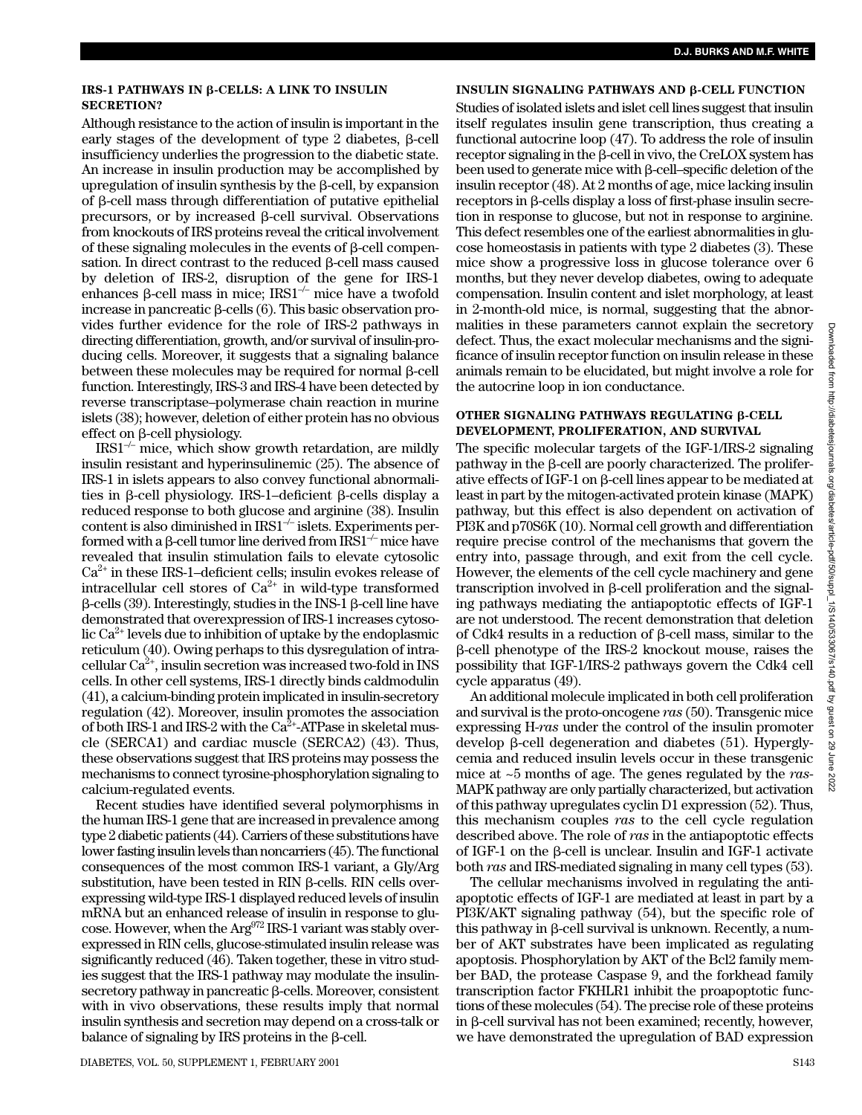Although resistance to the action of insulin is important in the early stages of the development of type 2 diabetes,  $\beta$ -cell insufficiency underlies the progression to the diabetic state. An increase in insulin production may be accomplished by upregulation of insulin synthesis by the  $\beta$ -cell, by expansion of  $\beta$ -cell mass through differentiation of putative epithelial precursors, or by increased  $\beta$ -cell survival. Observations from knockouts of IRS proteins reveal the critical involvement of these signaling molecules in the events of  $\beta$ -cell compensation. In direct contrast to the reduced  $\beta$ -cell mass caused by deletion of IRS-2, disruption of the gene for IRS-1 enhances  $\beta$ -cell mass in mice; IRS1<sup>-/-</sup> mice have a twofold increase in pancreatic  $\beta$ -cells (6). This basic observation provides further evidence for the role of IRS-2 pathways in directing differentiation, growth, and/or survival of insulin-producing cells. Moreover, it suggests that a signaling balance between these molecules may be required for normal  $\beta$ -cell function. Interestingly, IRS-3 and IRS-4 have been detected by reverse transcriptase–polymerase chain reaction in murine islets (38); however, deletion of either protein has no obvious  $effect$  on  $\beta$ -cell physiology.

 $IRS1<sup>-/-</sup>$  mice, which show growth retardation, are mildly insulin resistant and hyperinsulinemic (25). The absence of IRS-1 in islets appears to also convey functional abnormalities in  $\beta$ -cell physiology. IRS-1-deficient  $\beta$ -cells display a reduced response to both glucose and arginine (38). Insulin content is also diminished in IRS1–/– islets. Experiments performed with a β-cell tumor line derived from IRS1 $^{\not\--}$  mice have revealed that insulin stimulation fails to elevate cytosolic  $Ca<sup>2+</sup>$  in these IRS-1–deficient cells; insulin evokes release of intracellular cell stores of  $Ca^{2+}$  in wild-type transformed  $\beta$ -cells (39). Interestingly, studies in the INS-1  $\beta$ -cell line have demonstrated that overexpression of IRS-1 increases cytosolic  $Ca^{2+}$  levels due to inhibition of uptake by the endoplasmic reticulum (40). Owing perhaps to this dysregulation of intracellular  $Ca^{2+}$ , insulin secretion was increased two-fold in INS cells. In other cell systems, IRS-1 directly binds caldmodulin (41), a calcium-binding protein implicated in insulin-secretory regulation (42). Moreover, insulin promotes the association of both IRS-1 and IRS-2 with the  $Ca^{2+}$ -ATPase in skeletal muscle (SERCA1) and cardiac muscle (SERCA2) (43). Thus, these observations suggest that IRS proteins may possess the mechanisms to connect tyrosine-phosphorylation signaling to calcium-regulated events.

Recent studies have identified several polymorphisms in the human IRS-1 gene that are increased in prevalence among type 2 diabetic patients (44). Carriers of these substitutions have lower fasting insulin levels than noncarriers (45). The functional consequences of the most common IRS-1 variant, a Gly/Arg  $substitution$ , have been tested in RIN  $\beta$ -cells. RIN cells overexpressing wild-type IRS-1 displayed reduced levels of insulin mRNA but an enhanced release of insulin in response to glucose. However, when the Arg<sup>972</sup> IRS-1 variant was stably overexpressed in RIN cells, glucose-stimulated insulin release was significantly reduced (46). Taken together, these in vitro studies suggest that the IRS-1 pathway may modulate the insulin- $\sec$ retory pathway in pancreatic  $\beta$ -cells. Moreover, consistent with in vivo observations, these results imply that normal insulin synthesis and secretion may depend on a cross-talk or balance of signaling by IRS proteins in the  $\beta$ -cell.

# **INSULIN SIGNALING PATHWAYS AND β-CELL FUNCTION**

Studies of isolated islets and islet cell lines suggest that insulin itself regulates insulin gene transcription, thus creating a functional autocrine loop (47). To address the role of insulin  $\epsilon$ receptor signaling in the  $\beta$ -cell in vivo, the CreLOX system has been used to generate mice with  $\beta$ -cell-specific deletion of the insulin receptor (48). At 2 months of age, mice lacking insulin  $receptors$  in  $\beta$ -cells display a loss of first-phase insulin secretion in response to glucose, but not in response to arginine. This defect resembles one of the earliest abnormalities in glucose homeostasis in patients with type 2 diabetes (3). These mice show a progressive loss in glucose tolerance over 6 months, but they never develop diabetes, owing to adequate compensation. Insulin content and islet morphology, at least in 2-month-old mice, is normal, suggesting that the abnormalities in these parameters cannot explain the secretory defect. Thus, the exact molecular mechanisms and the significance of insulin receptor function on insulin release in these animals remain to be elucidated, but might involve a role for the autocrine loop in ion conductance.

#### **OTHER SIGNALING PATHWAYS REGULATING β-CELL DEVELOPMENT, PROLIFERATION, AND SURVIVAL**

The specific molecular targets of the IGF-1/IRS-2 signaling pathway in the  $\beta$ -cell are poorly characterized. The proliferative effects of IGF-1 on  $\beta$ -cell lines appear to be mediated at least in part by the mitogen-activated protein kinase (MAPK) pathway, but this effect is also dependent on activation of PI3K and p70S6K (10). Normal cell growth and differentiation require precise control of the mechanisms that govern the entry into, passage through, and exit from the cell cycle. However, the elements of the cell cycle machinery and gene  $transcription$  involved in  $\beta$ -cell proliferation and the signaling pathways mediating the antiapoptotic effects of IGF-1 are not understood. The recent demonstration that deletion of Cdk4 results in a reduction of  $\beta$ -cell mass, similar to the --cell phenotype of the IRS-2 knockout mouse, raises the possibility that IGF-1/IRS-2 pathways govern the Cdk4 cell cycle apparatus (49).

An additional molecule implicated in both cell proliferation and survival is the proto-oncogene *ras* (50). Transgenic mice expressing H-*ras* under the control of the insulin promoter develop  $\beta$ -cell degeneration and diabetes (51). Hyperglycemia and reduced insulin levels occur in these transgenic mice at ~5 months of age. The genes regulated by the *ras*-MAPK pathway are only partially characterized, but activation of this pathway upregulates cyclin D1 expression (52). Thus, this mechanism couples *ras* to the cell cycle regulation described above. The role of *ras* in the antiapoptotic effects of IGF-1 on the  $\beta$ -cell is unclear. Insulin and IGF-1 activate both *ras* and IRS-mediated signaling in many cell types (53).

The cellular mechanisms involved in regulating the antiapoptotic effects of IGF-1 are mediated at least in part by a PI3K/AKT signaling pathway (54), but the specific role of this pathway in  $\beta$ -cell survival is unknown. Recently, a number of AKT substrates have been implicated as regulating apoptosis. Phosphorylation by AKT of the Bcl2 family member BAD, the protease Caspase 9, and the forkhead family transcription factor FKHLR1 inhibit the proapoptotic functions of these molecules (54). The precise role of these proteins in  $\beta$ -cell survival has not been examined; recently, however, we have demonstrated the upregulation of BAD expression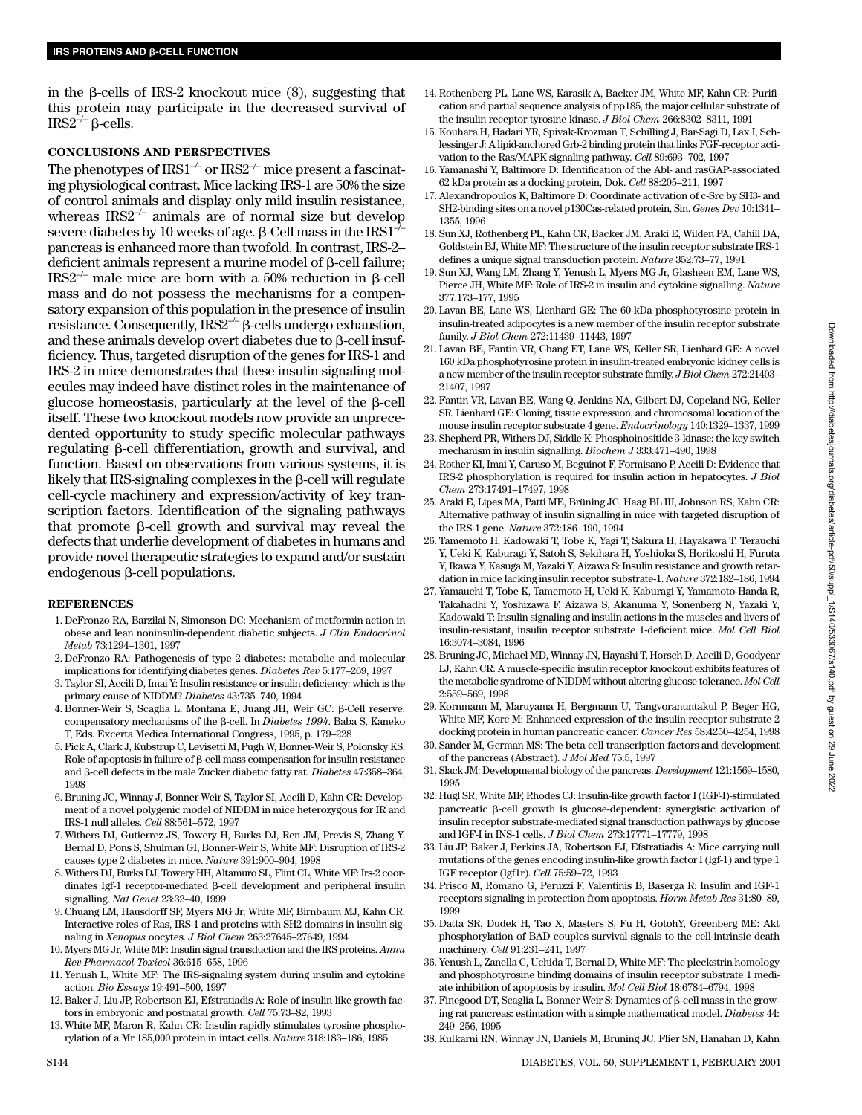in the  $\beta$ -cells of IRS-2 knockout mice  $(8)$ , suggesting that this protein may participate in the decreased survival of  $IRS2^{-/-}$   $\beta$ -cells.

#### **CONCLUSIONS AND PERSPECTIVES**

The phenotypes of  $IRS1<sup>-/-</sup>$  or  $IRS2<sup>-/-</sup>$  mice present a fascinating physiological contrast. Mice lacking IRS-1 are 50% the size of control animals and display only mild insulin resistance, whereas  $IRS2^{-/-}$  animals are of normal size but develop severe diabetes by 10 weeks of age. β-Cell mass in the IRS1 $^{-1}$ pancreas is enhanced more than twofold. In contrast, IRS-2– deficient animals represent a murine model of  $\beta$ -cell failure; IRS2<sup>-/-</sup> male mice are born with a 50% reduction in  $\beta$ -cell mass and do not possess the mechanisms for a compensatory expansion of this population in the presence of insulin resistance. Consequently,  $IRS2^{-/-}$   $\beta$ -cells undergo exhaustion, and these animals develop overt diabetes due to  $\beta$ -cell insufficiency. Thus, targeted disruption of the genes for IRS-1 and IRS-2 in mice demonstrates that these insulin signaling molecules may indeed have distinct roles in the maintenance of glucose homeostasis, particularly at the level of the  $\beta$ -cell itself. These two knockout models now provide an unprecedented opportunity to study specific molecular pathways regulating  $\beta$ -cell differentiation, growth and survival, and function. Based on observations from various systems, it is likely that IRS-signaling complexes in the  $\beta$ -cell will regulate cell-cycle machinery and expression/activity of key transcription factors. Identification of the signaling pathways that promote  $\beta$ -cell growth and survival may reveal the defects that underlie development of diabetes in humans and provide novel therapeutic strategies to expand and/or sustain endogenous  $\beta$ -cell populations.

#### **REFERENCES**

- 1. DeFronzo RA, Barzilai N, Simonson DC: Mechanism of metformin action in obese and lean noninsulin-dependent diabetic subjects. *J Clin Endocrinol Metab* 73:1294–1301, 1997
- 2. DeFronzo RA: Pathogenesis of type 2 diabetes: metabolic and molecular implications for identifying diabetes genes. *Diabetes Rev* 5:177–269, 1997
- 3. Taylor SI, Accili D, Imai Y: Insulin resistance or insulin deficiency: which is the primary cause of NIDDM? *Diabetes* 43:735–740, 1994
- 4. Bonner-Weir S, Scaglia L, Montana E, Juang JH, Weir GC: β-Cell reserve: compensatory mechanisms of the  $\beta$ -cell. In *Diabetes 1994*. Baba S, Kaneko T, Eds. Excerta Medica International Congress, 1995, p. 179–228
- 5. Pick A, Clark J, Kubstrup C, Levisetti M, Pugh W, Bonner-Weir S, Polonsky KS:  $R$ ole of apoptosis in failure of  $\beta$ -cell mass compensation for insulin resistance and  $\beta$ -cell defects in the male Zucker diabetic fatty rat. *Diabetes* 47:358–364, 1998
- 6. Bruning JC, Winnay J, Bonner-Weir S, Taylor SI, Accili D, Kahn CR: Development of a novel polygenic model of NIDDM in mice heterozygous for IR and IRS-1 null alleles. *Cell* 88:561–572, 1997
- 7. Withers DJ, Gutierrez JS, Towery H, Burks DJ, Ren JM, Previs S, Zhang Y, Bernal D, Pons S, Shulman GI, Bonner-Weir S, White MF: Disruption of IRS-2 causes type 2 diabetes in mice. *Nature* 391:900–904, 1998
- 8. Withers DJ, Burks DJ, Towery HH, Altamuro SL, Flint CL, White MF: Irs-2 coordinates Igf-1 receptor-mediated  $\beta$ -cell development and peripheral insulin signalling. *Nat Genet* 23:32–40, 1999
- 9. Chuang LM, Hausdorff SF, Myers MG Jr, White MF, Birnbaum MJ, Kahn CR: Interactive roles of Ras, IRS-1 and proteins with SH2 domains in insulin signaling in *Xenopus* oocytes. *J Biol Chem* 263:27645–27649, 1994
- 10. Myers MG Jr, White MF: Insulin signal transduction and the IRS proteins. *Annu Rev Pharmacol Toxicol* 36:615–658, 1996
- 11. Yenush L, White MF: The IRS-signaling system during insulin and cytokine action. *Bio Essays* 19:491–500, 1997
- 12. Baker J, Liu JP, Robertson EJ, Efstratiadis A: Role of insulin-like growth factors in embryonic and postnatal growth. *Cell* 75:73–82, 1993
- 13. White MF, Maron R, Kahn CR: Insulin rapidly stimulates tyrosine phosphorylation of a Mr 185,000 protein in intact cells. *Nature* 318:183–186, 1985
- 14. Rothenberg PL, Lane WS, Karasik A, Backer JM, White MF, Kahn CR: Purification and partial sequence analysis of pp185, the major cellular substrate of the insulin receptor tyrosine kinase. *J Biol Chem* 266:8302–8311, 1991
- 15. Kouhara H, Hadari YR, Spivak-Krozman T, Schilling J, Bar-Sagi D, Lax I, Schlessinger J: A lipid-anchored Grb-2 binding protein that links FGF-receptor activation to the Ras/MAPK signaling pathway. *Cell* 89:693–702, 1997
- 16. Yamanashi Y, Baltimore D: Identification of the Abl- and rasGAP-associated 62 kDa protein as a docking protein, Dok. *Cell* 88:205–211, 1997
- 17. Alexandropoulos K, Baltimore D: Coordinate activation of c-Src by SH3- and SH2-binding sites on a novel p130Cas-related protein, Sin. *Genes Dev* 10:1341– 1355, 1996
- 18. Sun XJ, Rothenberg PL, Kahn CR, Backer JM, Araki E, Wilden PA, Cahill DA, Goldstein BJ, White MF: The structure of the insulin receptor substrate IRS-1 defines a unique signal transduction protein. *Nature* 352:73–77, 1991
- 19. Sun XJ, Wang LM, Zhang Y, Yenush L, Myers MG Jr, Glasheen EM, Lane WS, Pierce JH, White MF: Role of IRS-2 in insulin and cytokine signalling. *Nature* 377:173–177, 1995
- 20. Lavan BE, Lane WS, Lienhard GE: The 60-kDa phosphotyrosine protein in insulin-treated adipocytes is a new member of the insulin receptor substrate family. *J Biol Chem* 272:11439–11443, 1997
- 21. Lavan BE, Fantin VR, Chang ET, Lane WS, Keller SR, Lienhard GE: A novel 160 kDa phosphotyrosine protein in insulin-treated embryonic kidney cells is a new member of the insulin receptor substrate family. *J Biol Chem* 272:21403– 21407, 1997
- 22. Fantin VR, Lavan BE, Wang Q, Jenkins NA, Gilbert DJ, Copeland NG, Keller SR, Lienhard GE: Cloning, tissue expression, and chromosomal location of the mouse insulin receptor substrate 4 gene. *Endocrinology* 140:1329–1337, 1999
- 23. Shepherd PR, Withers DJ, Siddle K: Phosphoinositide 3-kinase: the key switch mechanism in insulin signalling. *Biochem J* 333:471–490, 1998
- 24. Rother KI, Imai Y, Caruso M, Beguinot F, Formisano P, Accili D: Evidence that IRS-2 phosphorylation is required for insulin action in hepatocytes. *J Biol Chem* 273:17491–17497, 1998
- 25. Araki E, Lipes MA, Patti ME, Brüning JC, Haag BL III, Johnson RS, Kahn CR: Alternative pathway of insulin signalling in mice with targeted disruption of the IRS-1 gene. *Nature* 372:186–190, 1994
- 26. Tamemoto H, Kadowaki T, Tobe K, Yagi T, Sakura H, Hayakawa T, Terauchi Y, Ueki K, Kaburagi Y, Satoh S, Sekihara H, Yoshioka S, Horikoshi H, Furuta Y, Ikawa Y, Kasuga M, Yazaki Y, Aizawa S: Insulin resistance and growth retardation in mice lacking insulin receptor substrate-1. *Nature* 372:182–186, 1994
- 27. Yamauchi T, Tobe K, Tamemoto H, Ueki K, Kaburagi Y, Yamamoto-Handa R, Takahadhi Y, Yoshizawa F, Aizawa S, Akanuma Y, Sonenberg N, Yazaki Y, Kadowaki T: Insulin signaling and insulin actions in the muscles and livers of insulin-resistant, insulin receptor substrate 1-deficient mice. *Mol Cell Biol* 16:3074–3084, 1996
- 28. Bruning JC, Michael MD, Winnay JN, Hayashi T, Horsch D, Accili D, Goodyear LJ, Kahn CR: A muscle-specific insulin receptor knockout exhibits features of the metabolic syndrome of NIDDM without altering glucose tolerance. *Mol Cell* 2:559–569, 1998
- 29. Kornmann M, Maruyama H, Bergmann U, Tangvoranuntakul P, Beger HG, White MF, Korc M: Enhanced expression of the insulin receptor substrate-2 docking protein in human pancreatic cancer. *Cancer Res* 58:4250–4254, 1998
- 30. Sander M, German MS: The beta cell transcription factors and development of the pancreas (Abstract). *J Mol Med* 75:5, 1997
- 31. Slack JM: Developmental biology of the pancreas. *Development* 121:1569–1580, 1995
- 32. Hugl SR, White MF, Rhodes CJ: Insulin-like growth factor I (IGF-I)-stimulated pancreatic  $\beta$ -cell growth is glucose-dependent: synergistic activation of insulin receptor substrate-mediated signal transduction pathways by glucose and IGF-I in INS-1 cells. *J Biol Chem* 273:17771–17779, 1998
- 33. Liu JP, Baker J, Perkins JA, Robertson EJ, Efstratiadis A: Mice carrying null mutations of the genes encoding insulin-like growth factor I (lgf-1) and type 1 IGF receptor (lgf1r). *Cell* 75:59–72, 1993
- 34. Prisco M, Romano G, Peruzzi F, Valentinis B, Baserga R: Insulin and IGF-1 receptors signaling in protection from apoptosis. *Horm Metab Res* 31:80–89, 1999
- 35. Datta SR, Dudek H, Tao X, Masters S, Fu H, GotohY, Greenberg ME: Akt phosphorylation of BAD couples survival signals to the cell-intrinsic death machinery. *Cell* 91:231–241, 1997
- 36. Yenush L, Zanella C, Uchida T, Bernal D, White MF: The pleckstrin homology and phosphotyrosine binding domains of insulin receptor substrate 1 mediate inhibition of apoptosis by insulin. *Mol Cell Biol* 18:6784–6794, 1998
- 37. Finegood DT, Scaglia L, Bonner Weir S: Dynamics of  $\beta$ -cell mass in the growing rat pancreas: estimation with a simple mathematical model. *Diabetes* 44: 249–256, 1995
- 38. Kulkarni RN, Winnay JN, Daniels M, Bruning JC, Flier SN, Hanahan D, Kahn